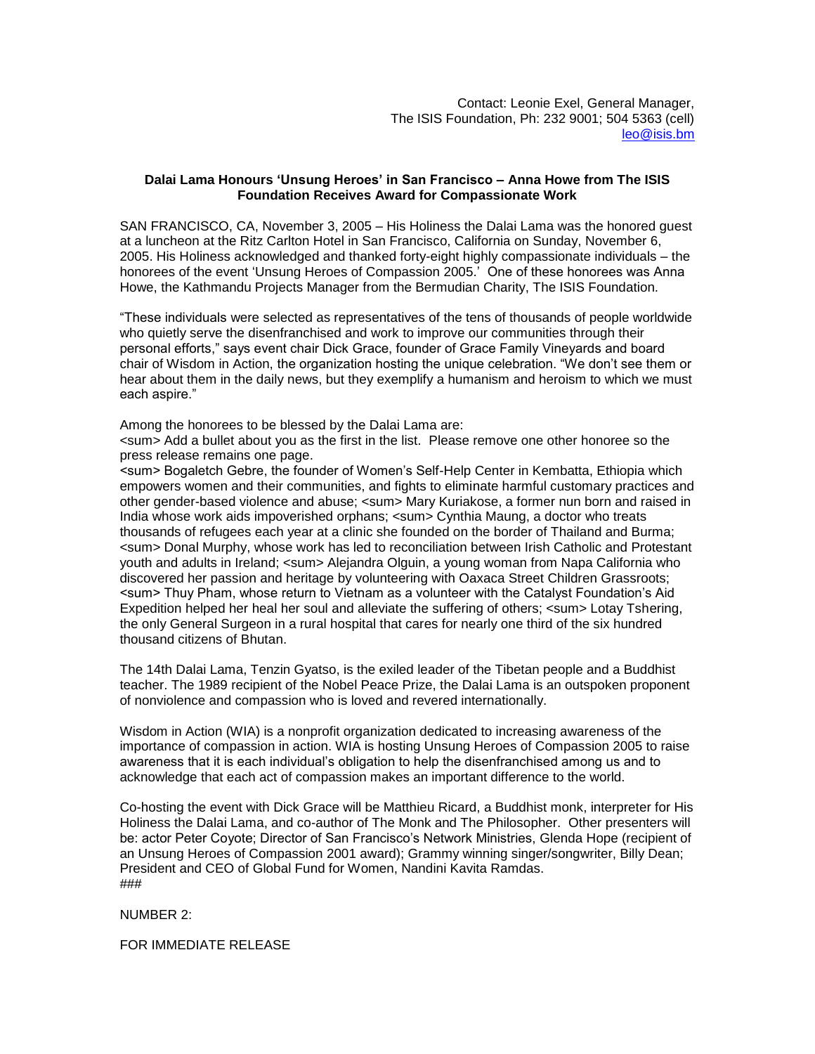## **Dalai Lama Honours 'Unsung Heroes' in San Francisco – Anna Howe from The ISIS Foundation Receives Award for Compassionate Work**

SAN FRANCISCO, CA, November 3, 2005 – His Holiness the Dalai Lama was the honored guest at a luncheon at the Ritz Carlton Hotel in San Francisco, California on Sunday, November 6, 2005. His Holiness acknowledged and thanked forty-eight highly compassionate individuals – the honorees of the event 'Unsung Heroes of Compassion 2005.' One of these honorees was Anna Howe, the Kathmandu Projects Manager from the Bermudian Charity, The ISIS Foundation.

"These individuals were selected as representatives of the tens of thousands of people worldwide who quietly serve the disenfranchised and work to improve our communities through their personal efforts," says event chair Dick Grace, founder of Grace Family Vineyards and board chair of Wisdom in Action, the organization hosting the unique celebration. "We don't see them or hear about them in the daily news, but they exemplify a humanism and heroism to which we must each aspire."

Among the honorees to be blessed by the Dalai Lama are:

<sum> Add a bullet about you as the first in the list. Please remove one other honoree so the press release remains one page.

<sum> Bogaletch Gebre, the founder of Women's Self-Help Center in Kembatta, Ethiopia which empowers women and their communities, and fights to eliminate harmful customary practices and other gender-based violence and abuse; <sum> Mary Kuriakose, a former nun born and raised in India whose work aids impoverished orphans; <sum> Cynthia Maung, a doctor who treats thousands of refugees each year at a clinic she founded on the border of Thailand and Burma; <sum> Donal Murphy, whose work has led to reconciliation between Irish Catholic and Protestant youth and adults in Ireland; <sum> Alejandra Olguin, a young woman from Napa California who discovered her passion and heritage by volunteering with Oaxaca Street Children Grassroots; <sum> Thuy Pham, whose return to Vietnam as a volunteer with the Catalyst Foundation's Aid Expedition helped her heal her soul and alleviate the suffering of others; <sum> Lotay Tshering, the only General Surgeon in a rural hospital that cares for nearly one third of the six hundred thousand citizens of Bhutan.

The 14th Dalai Lama, Tenzin Gyatso, is the exiled leader of the Tibetan people and a Buddhist teacher. The 1989 recipient of the Nobel Peace Prize, the Dalai Lama is an outspoken proponent of nonviolence and compassion who is loved and revered internationally.

Wisdom in Action (WIA) is a nonprofit organization dedicated to increasing awareness of the importance of compassion in action. WIA is hosting Unsung Heroes of Compassion 2005 to raise awareness that it is each individual's obligation to help the disenfranchised among us and to acknowledge that each act of compassion makes an important difference to the world.

Co-hosting the event with Dick Grace will be Matthieu Ricard, a Buddhist monk, interpreter for His Holiness the Dalai Lama, and co-author of The Monk and The Philosopher. Other presenters will be: actor Peter Coyote; Director of San Francisco's Network Ministries, Glenda Hope (recipient of an Unsung Heroes of Compassion 2001 award); Grammy winning singer/songwriter, Billy Dean; President and CEO of Global Fund for Women, Nandini Kavita Ramdas. ###

NUMBER 2:

FOR IMMEDIATE RELEASE